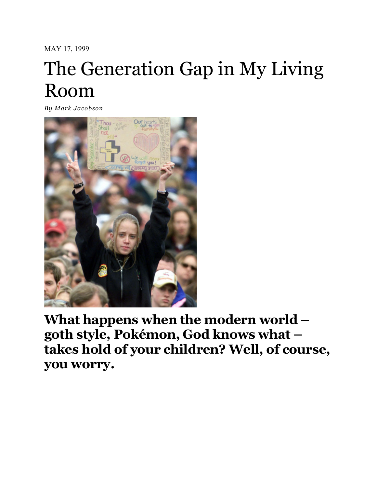MAY 17, 1999

## The Generation Gap in My Living Room

*By [Mark Jacobson](http://nymag.com/author/Mark%20Jacobson/)*



**What happens when the modern world – goth style, Pokémon, God knows what – takes hold of your children? Well, of course, you worry.**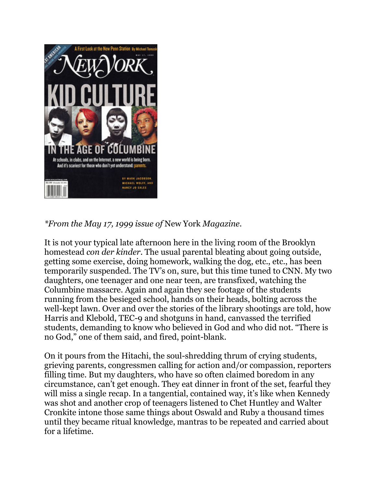

*\*From the May 17, 1999 issue of* New York *Magazine.*

It is not your typical late afternoon here in the living room of the Brooklyn homestead *con der kinder.* The usual parental bleating about going outside, getting some exercise, doing homework, walking the dog, etc., etc., has been temporarily suspended. The TV's on, sure, but this time tuned to CNN. My two daughters, one teenager and one near teen, are transfixed, watching the Columbine massacre. Again and again they see footage of the students running from the besieged school, hands on their heads, bolting across the well-kept lawn. Over and over the stories of the library shootings are told, how Harris and Klebold, TEC-9 and shotguns in hand, canvassed the terrified students, demanding to know who believed in God and who did not. "There is no God," one of them said, and fired, point-blank.

On it pours from the Hitachi, the soul-shredding thrum of crying students, grieving parents, congressmen calling for action and/or compassion, reporters filling time. But my daughters, who have so often claimed boredom in any circumstance, can't get enough. They eat dinner in front of the set, fearful they will miss a single recap. In a tangential, contained way, it's like when Kennedy was shot and another crop of teenagers listened to Chet Huntley and Walter Cronkite intone those same things about Oswald and Ruby a thousand times until they became ritual knowledge, mantras to be repeated and carried about for a lifetime.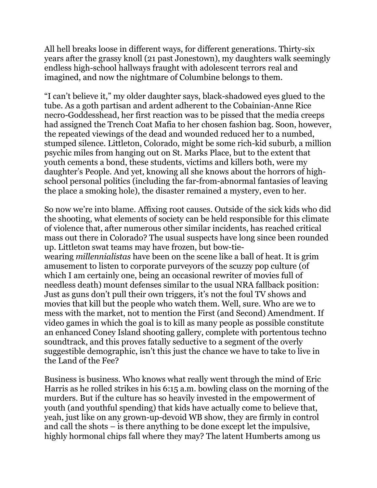All hell breaks loose in different ways, for different generations. Thirty-six years after the grassy knoll (21 past Jonestown), my daughters walk seemingly endless high-school hallways fraught with adolescent terrors real and imagined, and now the nightmare of Columbine belongs to them.

"I can't believe it," my older daughter says, black-shadowed eyes glued to the tube. As a goth partisan and ardent adherent to the Cobainian-Anne Rice necro-Goddesshead, her first reaction was to be pissed that the media creeps had assigned the Trench Coat Mafia to her chosen fashion bag. Soon, however, the repeated viewings of the dead and wounded reduced her to a numbed, stumped silence. Littleton, Colorado, might be some rich-kid suburb, a million psychic miles from hanging out on St. Marks Place, but to the extent that youth cements a bond, these students, victims and killers both, were my daughter's People. And yet, knowing all she knows about the horrors of highschool personal politics (including the far-from-abnormal fantasies of leaving the place a smoking hole), the disaster remained a mystery, even to her.

So now we're into blame. Affixing root causes. Outside of the sick kids who did the shooting, what elements of society can be held responsible for this climate of violence that, after numerous other similar incidents, has reached critical mass out there in Colorado? The usual suspects have long since been rounded up. Littleton swat teams may have frozen, but bow-tiewearing *millennialistas* have been on the scene like a ball of heat. It is grim amusement to listen to corporate purveyors of the scuzzy pop culture (of which I am certainly one, being an occasional rewriter of movies full of needless death) mount defenses similar to the usual NRA fallback position: Just as guns don't pull their own triggers, it's not the foul TV shows and movies that kill but the people who watch them. Well, sure. Who are we to mess with the market, not to mention the First (and Second) Amendment. If video games in which the goal is to kill as many people as possible constitute an enhanced Coney Island shooting gallery, complete with portentous techno soundtrack, and this proves fatally seductive to a segment of the overly suggestible demographic, isn't this just the chance we have to take to live in the Land of the Fee?

Business is business. Who knows what really went through the mind of Eric Harris as he rolled strikes in his 6:15 a.m. bowling class on the morning of the murders. But if the culture has so heavily invested in the empowerment of youth (and youthful spending) that kids have actually come to believe that, yeah, just like on any grown-up-devoid WB show, they are firmly in control and call the shots – is there anything to be done except let the impulsive, highly hormonal chips fall where they may? The latent Humberts among us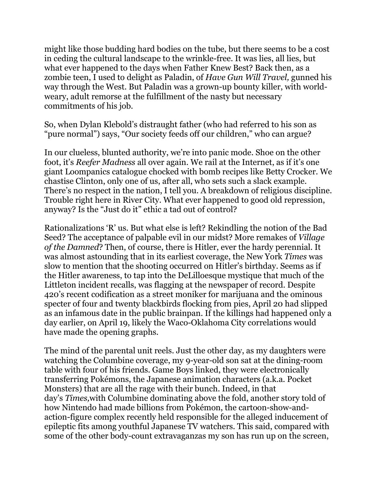might like those budding hard bodies on the tube, but there seems to be a cost in ceding the cultural landscape to the wrinkle-free. It was lies, all lies, but what ever happened to the days when Father Knew Best? Back then, as a zombie teen, I used to delight as Paladin, of *Have Gun Will Travel,* gunned his way through the West. But Paladin was a grown-up bounty killer, with worldweary, adult remorse at the fulfillment of the nasty but necessary commitments of his job.

So, when Dylan Klebold's distraught father (who had referred to his son as "pure normal") says, "Our society feeds off our children," who can argue?

In our clueless, blunted authority, we're into panic mode. Shoe on the other foot, it's *Reefer Madness* all over again. We rail at the Internet, as if it's one giant Loompanics catalogue chocked with bomb recipes like Betty Crocker. We chastise Clinton, only one of us, after all, who sets such a slack example. There's no respect in the nation, I tell you. A breakdown of religious discipline. Trouble right here in River City. What ever happened to good old repression, anyway? Is the "Just do it" ethic a tad out of control?

Rationalizations 'R' us. But what else is left? Rekindling the notion of the Bad Seed? The acceptance of palpable evil in our midst? More remakes of *Village of the Damned*? Then, of course, there is Hitler, ever the hardy perennial. It was almost astounding that in its earliest coverage, the New York *Times* was slow to mention that the shooting occurred on Hitler's birthday. Seems as if the Hitler awareness, to tap into the DeLilloesque mystique that much of the Littleton incident recalls, was flagging at the newspaper of record. Despite 420's recent codification as a street moniker for marijuana and the ominous specter of four and twenty blackbirds flocking from pies, April 20 had slipped as an infamous date in the public brainpan. If the killings had happened only a day earlier, on April 19, likely the Waco-Oklahoma City correlations would have made the opening graphs.

The mind of the parental unit reels. Just the other day, as my daughters were watching the Columbine coverage, my 9-year-old son sat at the dining-room table with four of his friends. Game Boys linked, they were electronically transferring Pokémons, the Japanese animation characters (a.k.a. Pocket Monsters) that are all the rage with their bunch. Indeed, in that day's *Times,*with Columbine dominating above the fold, another story told of how Nintendo had made billions from Pokémon, the cartoon-show-andaction-figure complex recently held responsible for the alleged inducement of epileptic fits among youthful Japanese TV watchers. This said, compared with some of the other body-count extravaganzas my son has run up on the screen,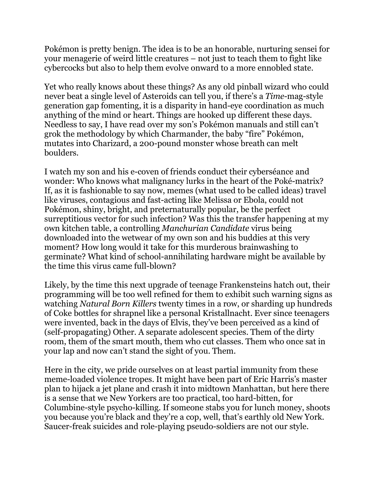Pokémon is pretty benign. The idea is to be an honorable, nurturing sensei for your menagerie of weird little creatures – not just to teach them to fight like cybercocks but also to help them evolve onward to a more ennobled state.

Yet who really knows about these things? As any old pinball wizard who could never beat a single level of Asteroids can tell you, if there's a *Time*-mag-style generation gap fomenting, it is a disparity in hand-eye coordination as much anything of the mind or heart. Things are hooked up different these days. Needless to say, I have read over my son's Pokémon manuals and still can't grok the methodology by which Charmander, the baby "fire" Pokémon, mutates into Charizard, a 200-pound monster whose breath can melt boulders.

I watch my son and his e-coven of friends conduct their cyberséance and wonder: Who knows what malignancy lurks in the heart of the Poké-matrix? If, as it is fashionable to say now, memes (what used to be called ideas) travel like viruses, contagious and fast-acting like Melissa or Ebola, could not Pokémon, shiny, bright, and preternaturally popular, be the perfect surreptitious vector for such infection? Was this the transfer happening at my own kitchen table, a controlling *Manchurian Candidate* virus being downloaded into the wetwear of my own son and his buddies at this very moment? How long would it take for this murderous brainwashing to germinate? What kind of school-annihilating hardware might be available by the time this virus came full-blown?

Likely, by the time this next upgrade of teenage Frankensteins hatch out, their programming will be too well refined for them to exhibit such warning signs as watching *Natural Born Killers* twenty times in a row, or sharding up hundreds of Coke bottles for shrapnel like a personal Kristallnacht. Ever since teenagers were invented, back in the days of Elvis, they've been perceived as a kind of (self-propagating) Other. A separate adolescent species. Them of the dirty room, them of the smart mouth, them who cut classes. Them who once sat in your lap and now can't stand the sight of you. Them.

Here in the city, we pride ourselves on at least partial immunity from these meme-loaded violence tropes. It might have been part of Eric Harris's master plan to hijack a jet plane and crash it into midtown Manhattan, but here there is a sense that we New Yorkers are too practical, too hard-bitten, for Columbine-style psycho-killing. If someone stabs you for lunch money, shoots you because you're black and they're a cop, well, that's earthly old New York. Saucer-freak suicides and role-playing pseudo-soldiers are not our style.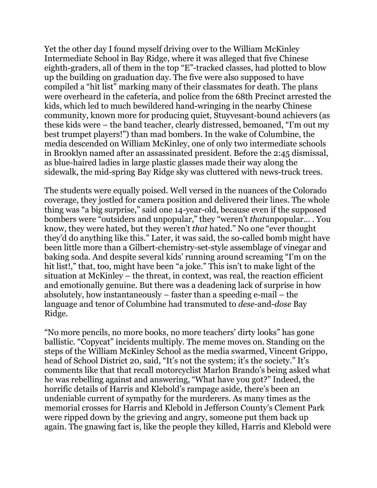Yet the other day I found myself driving over to the William McKinley Intermediate School in Bay Ridge, where it was alleged that five Chinese eighth-graders, all of them in the top "E"-tracked classes, had plotted to blow up the building on graduation day. The five were also supposed to have compiled a "hit list" marking many of their classmates for death. The plans were overheard in the cafeteria, and police from the 68th Precinct arrested the kids, which led to much bewildered hand-wringing in the nearby Chinese community, known more for producing quiet, Stuyvesant-bound achievers (as these kids were – the band teacher, clearly distressed, bemoaned, "I'm out my best trumpet players!") than mad bombers. In the wake of Columbine, the media descended on William McKinley, one of only two intermediate schools in Brooklyn named after an assassinated president. Before the 2:45 dismissal, as blue-haired ladies in large plastic glasses made their way along the sidewalk, the mid-spring Bay Ridge sky was cluttered with news-truck trees.

The students were equally poised. Well versed in the nuances of the Colorado coverage, they jostled for camera position and delivered their lines. The whole thing was "a big surprise," said one 14-year-old, because even if the supposed bombers were "outsiders and unpopular," they "weren't *that*unpopular… . You know, they were hated, but they weren't *that* hated." No one "ever thought they'd do anything like this." Later, it was said, the so-called bomb might have been little more than a Gilbert-chemistry-set-style assemblage of vinegar and baking soda. And despite several kids' running around screaming "I'm on the hit list!," that, too, might have been "a joke." This isn't to make light of the situation at McKinley – the threat, in context, was real, the reaction efficient and emotionally genuine. But there was a deadening lack of surprise in how absolutely, how instantaneously – faster than a speeding e-mail – the language and tenor of Columbine had transmuted to *dese*-and-*dose* Bay Ridge.

"No more pencils, no more books, no more teachers' dirty looks" has gone ballistic. "Copycat" incidents multiply. The meme moves on. Standing on the steps of the William McKinley School as the media swarmed, Vincent Grippo, head of School District 20, said, "It's not the system; it's the society." It's comments like that that recall motorcyclist Marlon Brando's being asked what he was rebelling against and answering, "What have you got?" Indeed, the horrific details of Harris and Klebold's rampage aside, there's been an undeniable current of sympathy for the murderers. As many times as the memorial crosses for Harris and Klebold in Jefferson County's Clement Park were ripped down by the grieving and angry, someone put them back up again. The gnawing fact is, like the people they killed, Harris and Klebold were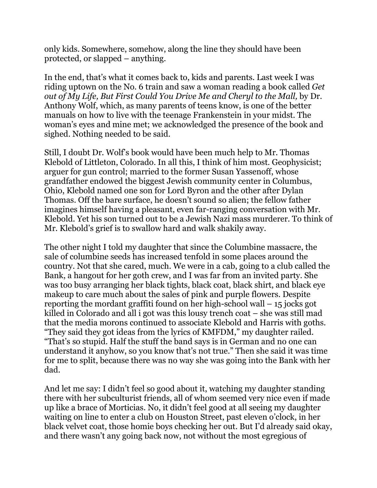only kids. Somewhere, somehow, along the line they should have been protected, or slapped – anything.

In the end, that's what it comes back to, kids and parents. Last week I was riding uptown on the No. 6 train and saw a woman reading a book called *Get out of My Life, But First Could You Drive Me and Cheryl to the Mall,* by Dr. Anthony Wolf, which, as many parents of teens know, is one of the better manuals on how to live with the teenage Frankenstein in your midst. The woman's eyes and mine met; we acknowledged the presence of the book and sighed. Nothing needed to be said.

Still, I doubt Dr. Wolf's book would have been much help to Mr. Thomas Klebold of Littleton, Colorado. In all this, I think of him most. Geophysicist; arguer for gun control; married to the former Susan Yassenoff, whose grandfather endowed the biggest Jewish community center in Columbus, Ohio, Klebold named one son for Lord Byron and the other after Dylan Thomas. Off the bare surface, he doesn't sound so alien; the fellow father imagines himself having a pleasant, even far-ranging conversation with Mr. Klebold. Yet his son turned out to be a Jewish Nazi mass murderer. To think of Mr. Klebold's grief is to swallow hard and walk shakily away.

The other night I told my daughter that since the Columbine massacre, the sale of columbine seeds has increased tenfold in some places around the country. Not that she cared, much. We were in a cab, going to a club called the Bank, a hangout for her goth crew, and I was far from an invited party. She was too busy arranging her black tights, black coat, black shirt, and black eye makeup to care much about the sales of pink and purple flowers. Despite reporting the mordant graffiti found on her high-school wall – 15 jocks got killed in Colorado and all i got was this lousy trench coat – she was still mad that the media morons continued to associate Klebold and Harris with goths. "They said they got ideas from the lyrics of KMFDM," my daughter railed. "That's so stupid. Half the stuff the band says is in German and no one can understand it anyhow, so you know that's not true." Then she said it was time for me to split, because there was no way she was going into the Bank with her dad.

And let me say: I didn't feel so good about it, watching my daughter standing there with her subculturist friends, all of whom seemed very nice even if made up like a brace of Morticias. No, it didn't feel good at all seeing my daughter waiting on line to enter a club on Houston Street, past eleven o'clock, in her black velvet coat, those homie boys checking her out. But I'd already said okay, and there wasn't any going back now, not without the most egregious of